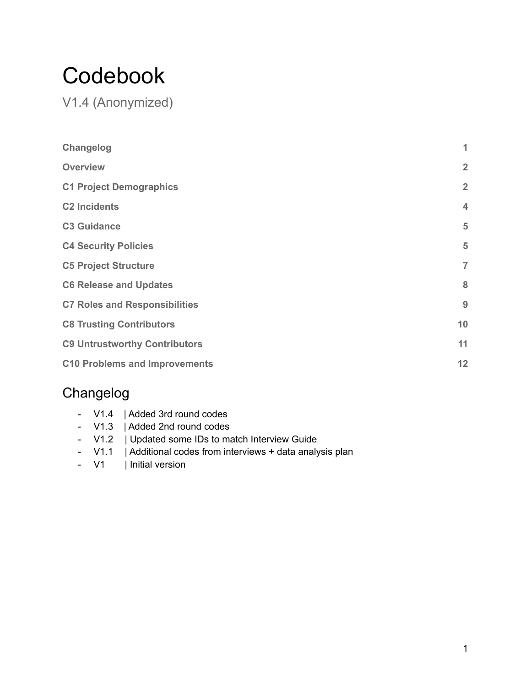# Codebook

V1.4 (Anonymized)

| Changelog                            | 1              |
|--------------------------------------|----------------|
| <b>Overview</b>                      | $\overline{2}$ |
| <b>C1 Project Demographics</b>       | $\overline{2}$ |
| <b>C2 Incidents</b>                  | $\overline{4}$ |
| <b>C3 Guidance</b>                   | 5              |
| <b>C4 Security Policies</b>          | 5              |
| <b>C5 Project Structure</b>          | $\overline{7}$ |
| <b>C6 Release and Updates</b>        | 8              |
| <b>C7 Roles and Responsibilities</b> | 9              |
| <b>C8 Trusting Contributors</b>      | 10             |
| <b>C9 Untrustworthy Contributors</b> | 11             |
| <b>C10 Problems and Improvements</b> | 12             |

## <span id="page-0-0"></span>Changelog

- V1.4 | Added 3rd round codes
- V1.3 | Added 2nd round codes
- V1.2 | Updated some IDs to match Interview Guide
- V1.1 | Additional codes from interviews + data analysis plan
- V1 | Initial version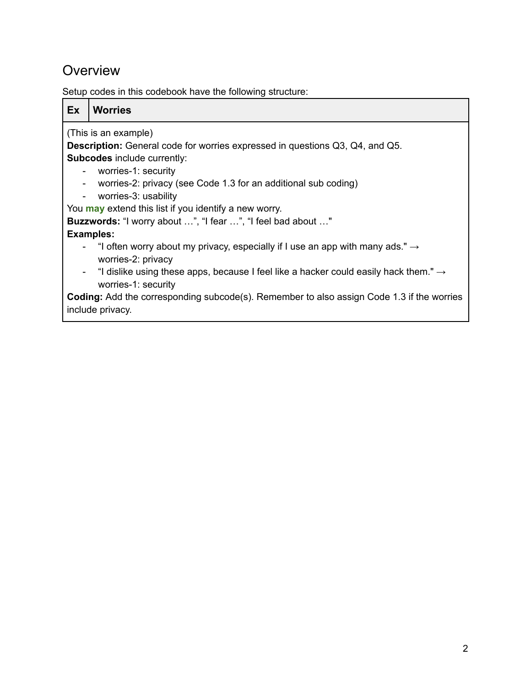## **Overview**

Setup codes in this codebook have the following structure:

<span id="page-1-0"></span>

| Ex.                      | <b>Worries</b>                                                                                                          |  |
|--------------------------|-------------------------------------------------------------------------------------------------------------------------|--|
| (This is an example)     |                                                                                                                         |  |
|                          | <b>Description:</b> General code for worries expressed in questions Q3, Q4, and Q5.                                     |  |
|                          | <b>Subcodes</b> include currently:                                                                                      |  |
| $\blacksquare$           | worries-1: security                                                                                                     |  |
| $\blacksquare$           | worries-2: privacy (see Code 1.3 for an additional sub coding)                                                          |  |
| $\overline{\phantom{a}}$ | worries-3: usability                                                                                                    |  |
|                          | You may extend this list if you identify a new worry.                                                                   |  |
|                          | Buzzwords: "I worry about ", "I fear ", "I feel bad about "                                                             |  |
|                          | <b>Examples:</b>                                                                                                        |  |
| $\overline{\phantom{a}}$ | "I often worry about my privacy, especially if I use an app with many ads." $\rightarrow$                               |  |
|                          | worries-2: privacy                                                                                                      |  |
| $\blacksquare$           | "I dislike using these apps, because I feel like a hacker could easily hack them." $\rightarrow$<br>worries-1: security |  |
|                          | <b>Coding:</b> Add the corresponding subcode(s). Remember to also assign Code 1.3 if the worries                        |  |
|                          | include privacy.                                                                                                        |  |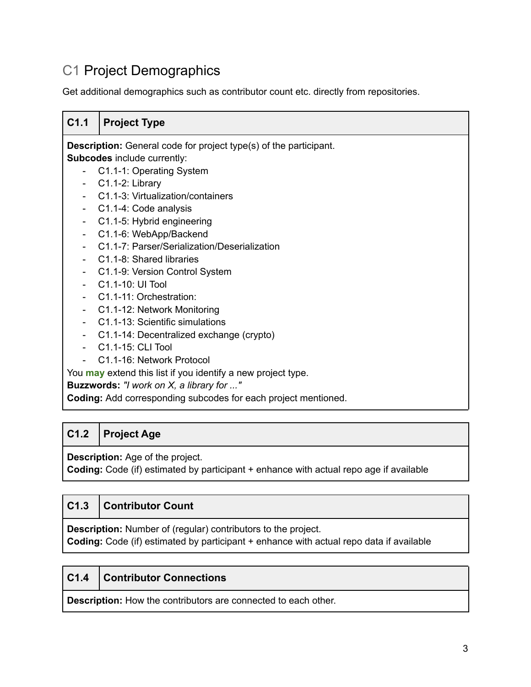## C1 Project Demographics

Get additional demographics such as contributor count etc. directly from repositories.

#### **C1.1 Project Type Description:** General code for project type(s) of the participant. **Subcodes** include currently: - C1.1-1: Operating System C1.1-2: Library - C1.1-3: Virtualization/containers - C1.1-4: Code analysis - C1.1-5: Hybrid engineering - C1.1-6: WebApp/Backend - C1.1-7: Parser/Serialization/Deserialization - C1.1-8: Shared libraries - C1.1-9: Version Control System - C1.1-10: UI Tool - C1.1-11: Orchestration: - C1.1-12: Network Monitoring - C1.1-13: Scientific simulations - C1.1-14: Decentralized exchange (crypto) - C1.1-15: CLI Tool - C1.1-16: Network Protocol You **may** extend this list if you identify a new project type.

**Buzzwords:** *"I work on X, a library for ..."*

**Coding:** Add corresponding subcodes for each project mentioned.

#### **C1.2 Project Age**

**Description:** Age of the project.

**Coding:** Code (if) estimated by participant + enhance with actual repo age if available

#### **C1.3 Contributor Count**

**Description:** Number of (regular) contributors to the project.

**Coding:** Code (if) estimated by participant + enhance with actual repo data if available

#### **C1.4 Contributor Connections**

**Description:** How the contributors are connected to each other.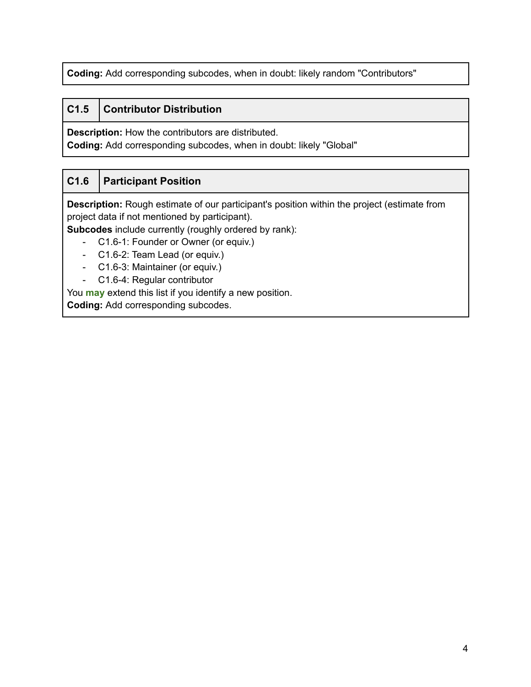**Coding:** Add corresponding subcodes, when in doubt: likely random "Contributors"

#### **C1.5 Contributor Distribution**

**Description:** How the contributors are distributed.

**Coding:** Add corresponding subcodes, when in doubt: likely "Global"

#### **C1.6 Participant Position**

**Description:** Rough estimate of our participant's position within the project (estimate from project data if not mentioned by participant).

**Subcodes** include currently (roughly ordered by rank):

- C1.6-1: Founder or Owner (or equiv.)
- C1.6-2: Team Lead (or equiv.)
- C1.6-3: Maintainer (or equiv.)
- C1.6-4: Regular contributor

<span id="page-3-0"></span>You **may** extend this list if you identify a new position.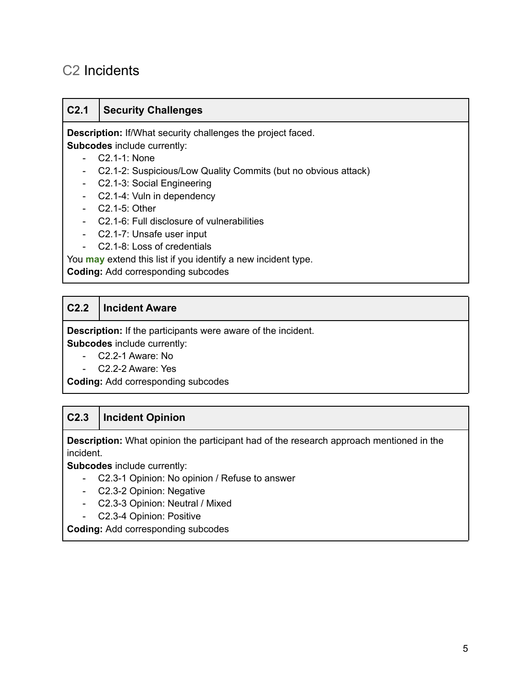## C2 Incidents

#### **C2.1 Security Challenges**

**Description:** If/What security challenges the project faced. **Subcodes** include currently:

- C2.1-1: None
- C2.1-2: Suspicious/Low Quality Commits (but no obvious attack)
- C2.1-3: Social Engineering
- C2.1-4: Vuln in dependency
- C2.1-5: Other
- C2.1-6: Full disclosure of vulnerabilities
- C2.1-7: Unsafe user input
- C2.1-8: Loss of credentials

You **may** extend this list if you identify a new incident type.

**Coding:** Add corresponding subcodes

#### **C2.2 Incident Aware**

**Description:** If the participants were aware of the incident. **Subcodes** include currently:

- C2.2-1 Aware: No
- C2.2-2 Aware: Yes

**Coding:** Add corresponding subcodes

#### **C2.3 Incident Opinion**

**Description:** What opinion the participant had of the research approach mentioned in the incident.

**Subcodes** include currently:

- C2.3-1 Opinion: No opinion / Refuse to answer
- C2.3-2 Opinion: Negative
- C2.3-3 Opinion: Neutral / Mixed
- C2.3-4 Opinion: Positive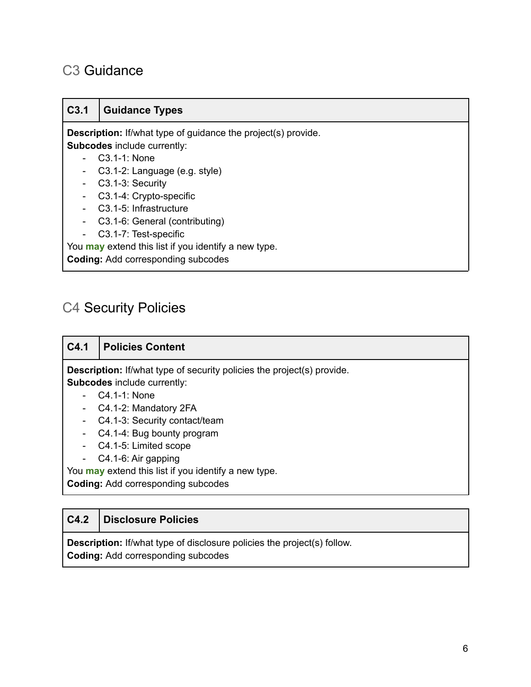## <span id="page-5-0"></span>C3 Guidance

#### **C3.1 Guidance Types**

**Description:** If/what type of guidance the project(s) provide. **Subcodes** include currently:

- C3.1-1: None
- C3.1-2: Language (e.g. style)
- C3.1-3: Security
- C3.1-4: Crypto-specific
- C3.1-5: Infrastructure
- C3.1-6: General (contributing)
- C3.1-7: Test-specific

You **may** extend this list if you identify a new type.

**Coding:** Add corresponding subcodes

## <span id="page-5-1"></span>C4 Security Policies

#### **C4.1 Policies Content**

**Description:** If/what type of security policies the project(s) provide. **Subcodes** include currently:

- C4.1-1: None
- C4.1-2: Mandatory 2FA
- C4.1-3: Security contact/team
- C4.1-4: Bug bounty program
- C4.1-5: Limited scope
- C4.1-6: Air gapping

You **may** extend this list if you identify a new type.

**Coding:** Add corresponding subcodes

#### **C4.2 Disclosure Policies**

**Description:** If/what type of disclosure policies the project(s) follow. **Coding:** Add corresponding subcodes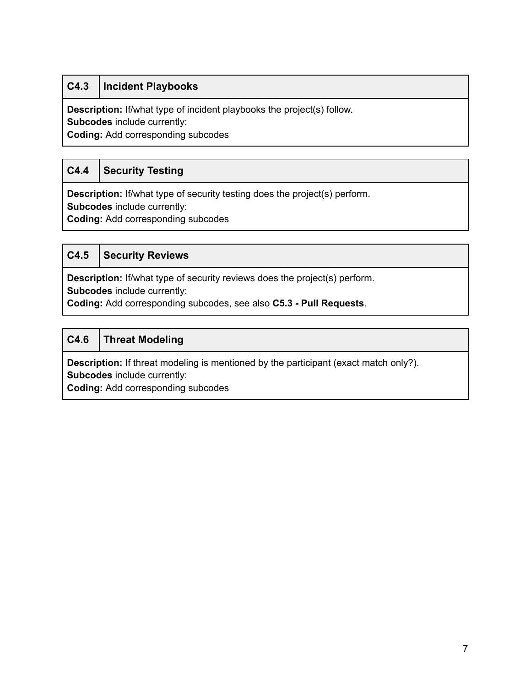#### **C4.3 Incident Playbooks**

**Description:** If/what type of incident playbooks the project(s) follow.

**Subcodes** include currently:

**Coding:** Add corresponding subcodes

#### **C4.4 Security Testing**

**Description:** If/what type of security testing does the project(s) perform.

**Subcodes** include currently:

**Coding:** Add corresponding subcodes

#### **C4.5 Security Reviews**

**Description:** If/what type of security reviews does the project(s) perform.

**Subcodes** include currently:

**Coding:** Add corresponding subcodes, see also **C5.3 - Pull Requests**.

#### **C4.6 Threat Modeling**

**Description:** If threat modeling is mentioned by the participant (exact match only?). **Subcodes** include currently: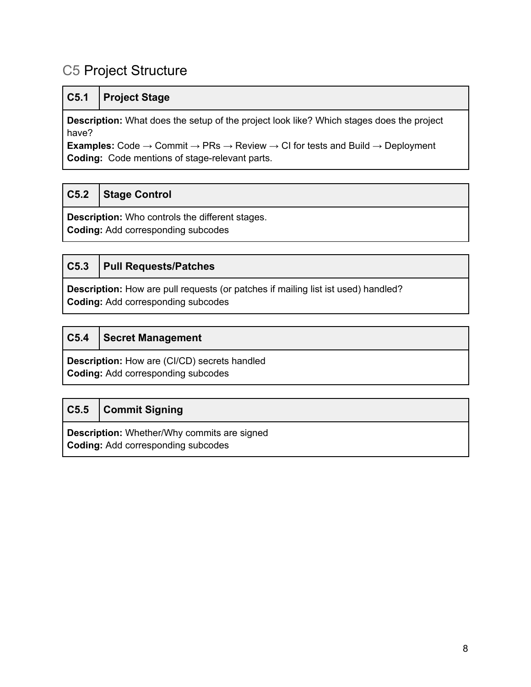## <span id="page-7-0"></span>C5 Project Structure

|  | C5.1   Project Stage |
|--|----------------------|
|--|----------------------|

**Description:** What does the setup of the project look like? Which stages does the project have?

**Examples:** Code  $\rightarrow$  Commit  $\rightarrow$  PRs  $\rightarrow$  Review  $\rightarrow$  CI for tests and Build  $\rightarrow$  Deployment **Coding:** Code mentions of stage-relevant parts.

#### **C5.2 Stage Control**

**Description:** Who controls the different stages. **Coding:** Add corresponding subcodes

#### **C5.3 Pull Requests/Patches**

**Description:** How are pull requests (or patches if mailing list ist used) handled? **Coding:** Add corresponding subcodes

#### **C5.4 Secret Management**

**Description:** How are (CI/CD) secrets handled **Coding:** Add corresponding subcodes

#### **C5.5 Commit Signing**

**Description:** Whether/Why commits are signed **Coding:** Add corresponding subcodes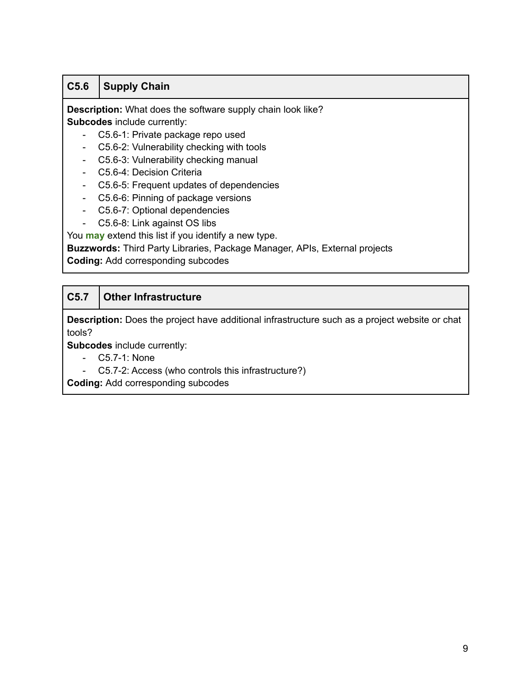#### **C5.6 Supply Chain**

**Description:** What does the software supply chain look like?

**Subcodes** include currently: - C5.6-1: Private package repo used

- C5.6-2: Vulnerability checking with tools
- C5.6-3: Vulnerability checking manual
- C5.6-4: Decision Criteria
- C5.6-5: Frequent updates of dependencies
- C5.6-6: Pinning of package versions
- C5.6-7: Optional dependencies
- C5.6-8: Link against OS libs

You **may** extend this list if you identify a new type.

**Buzzwords:** Third Party Libraries, Package Manager, APIs, External projects

**Coding:** Add corresponding subcodes

#### **C5.7 Other Infrastructure**

**Description:** Does the project have additional infrastructure such as a project website or chat tools?

**Subcodes** include currently:

- C5.7-1: None
- <span id="page-8-0"></span>- C5.7-2: Access (who controls this infrastructure?)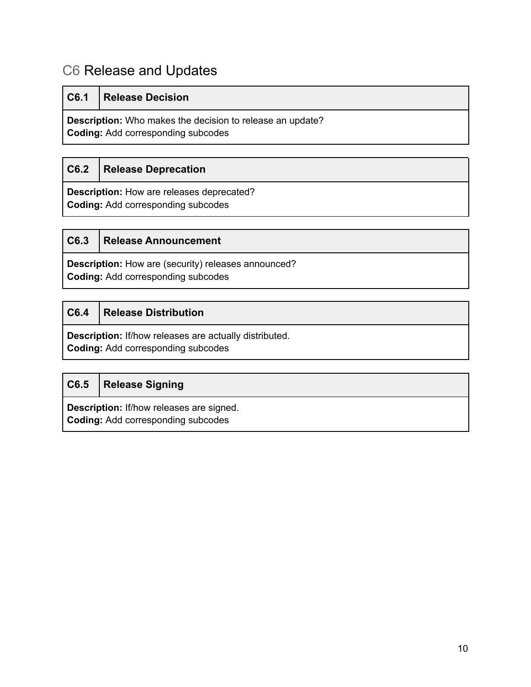## C6 Release and Updates

| C6.1 | <b>Release Decision</b>                                                                                       |
|------|---------------------------------------------------------------------------------------------------------------|
|      | <b>Description:</b> Who makes the decision to release an update?<br><b>Coding:</b> Add corresponding subcodes |

#### **C6.2 Release Deprecation**

**Description:** How are releases deprecated? **Coding:** Add corresponding subcodes

| C6.3 | <b>Release Announcement</b> |
|------|-----------------------------|
|      |                             |

**Description:** How are (security) releases announced? **Coding:** Add corresponding subcodes

#### **C6.4 Release Distribution**

**Description:** If/how releases are actually distributed.

**Coding:** Add corresponding subcodes

<span id="page-9-0"></span>

| C6.5   Release Signing                          |
|-------------------------------------------------|
| <b>Description:</b> If/how releases are signed. |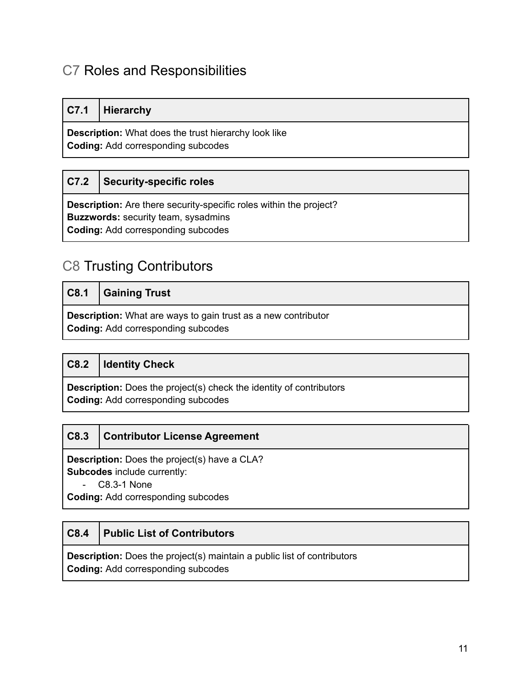## C7 Roles and Responsibilities

#### **C7.1 Hierarchy**

**Description:** What does the trust hierarchy look like **Coding:** Add corresponding subcodes

#### **C7.2 Security-specific roles**

**Description:** Are there security-specific roles within the project? **Buzzwords:** security team, sysadmins **Coding:** Add corresponding subcodes

## <span id="page-10-0"></span>C8 Trusting Contributors

|                                                                                                                   | C8.1 Gaining Trust |
|-------------------------------------------------------------------------------------------------------------------|--------------------|
| <b>Description:</b> What are ways to gain trust as a new contributor<br><b>Coding: Add corresponding subcodes</b> |                    |

#### **C8.2 Identity Check**

**Description:** Does the project(s) check the identity of contributors **Coding:** Add corresponding subcodes

#### **C8.3 Contributor License Agreement**

**Description:** Does the project(s) have a CLA? **Subcodes** include currently:

- C8.3-1 None

**Coding:** Add corresponding subcodes

#### **C8.4 Public List of Contributors**

**Description:** Does the project(s) maintain a public list of contributors **Coding:** Add corresponding subcodes